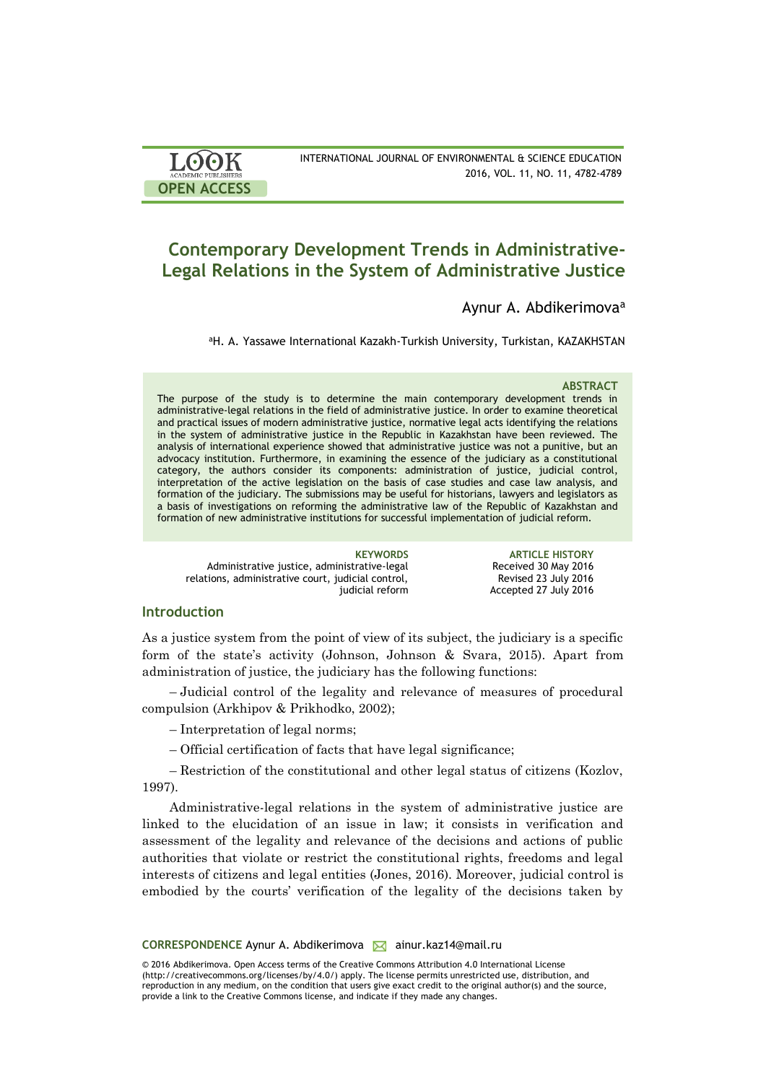| LOOK<br><b>ACADEMIC PUBLISHERS</b> | INTERNATIONAL JOUR |
|------------------------------------|--------------------|
| OPEN ACCESS                        |                    |

INAL OF ENVIRONMENTAL & SCIENCE EDUCATION 2016, VOL. 11, NO. 11, 4782-4789

# **Contemporary Development Trends in Administrative-Legal Relations in the System of Administrative Justice**

# Aynur A. Abdikerimova<sup>a</sup>

<sup>a</sup>H. A. Yassawe International Kazakh-Turkish University, Turkistan, KAZAKHSTAN

#### **ABSTRACT**

The purpose of the study is to determine the main contemporary development trends in administrative-legal relations in the field of administrative justice. In order to examine theoretical and practical issues of modern administrative justice, normative legal acts identifying the relations in the system of administrative justice in the Republic in Kazakhstan have been reviewed. The analysis of international experience showed that administrative justice was not a punitive, but an advocacy institution. Furthermore, in examining the essence of the judiciary as a constitutional category, the authors consider its components: administration of justice, judicial control, interpretation of the active legislation on the basis of case studies and case law analysis, and formation of the judiciary. The submissions may be useful for historians, lawyers and legislators as a basis of investigations on reforming the administrative law of the Republic of Kazakhstan and formation of new administrative institutions for successful implementation of judicial reform.

| <b>KEYWORDS</b>                                    |
|----------------------------------------------------|
| Administrative justice, administrative legal       |
| relations, administrative court, judicial control, |
| judicial reform                                    |

**ARTICLE HISTORY** Received 30 May 2016 Revised 23 July 2016 Accepted 27 July 2016

## **Introduction**

As a justice system from the point of view of its subject, the judiciary is a specific form of the state's activity (Johnson, Johnson & Svara, 2015). Apart from administration of justice, the judiciary has the following functions:

– Judicial control of the legality and relevance of measures of procedural compulsion (Arkhipov & Prikhodko, 2002);

– Interpretation of legal norms;

– Official certification of facts that have legal significance;

– Restriction of the constitutional and other legal status of citizens (Kozlov, 1997).

Administrative-legal relations in the system of administrative justice are linked to the elucidation of an issue in law; it consists in verification and assessment of the legality and relevance of the decisions and actions of public authorities that violate or restrict the constitutional rights, freedoms and legal interests of citizens and legal entities (Jones, 2016). Moreover, judicial control is embodied by the courts' verification of the legality of the decisions taken by

CORRESPONDENCE Aynur A. Abdikerimova **M** ainur.kaz14@mail.ru

© 2016 Abdikerimova. Open Access terms of the Creative Commons Attribution 4.0 International License (http://creativecommons.org/licenses/by/4.0/) apply. The license permits unrestricted use, distribution, and reproduction in any medium, on the condition that users give exact credit to the original author(s) and the source, provide a link to the Creative Commons license, and indicate if they made any changes.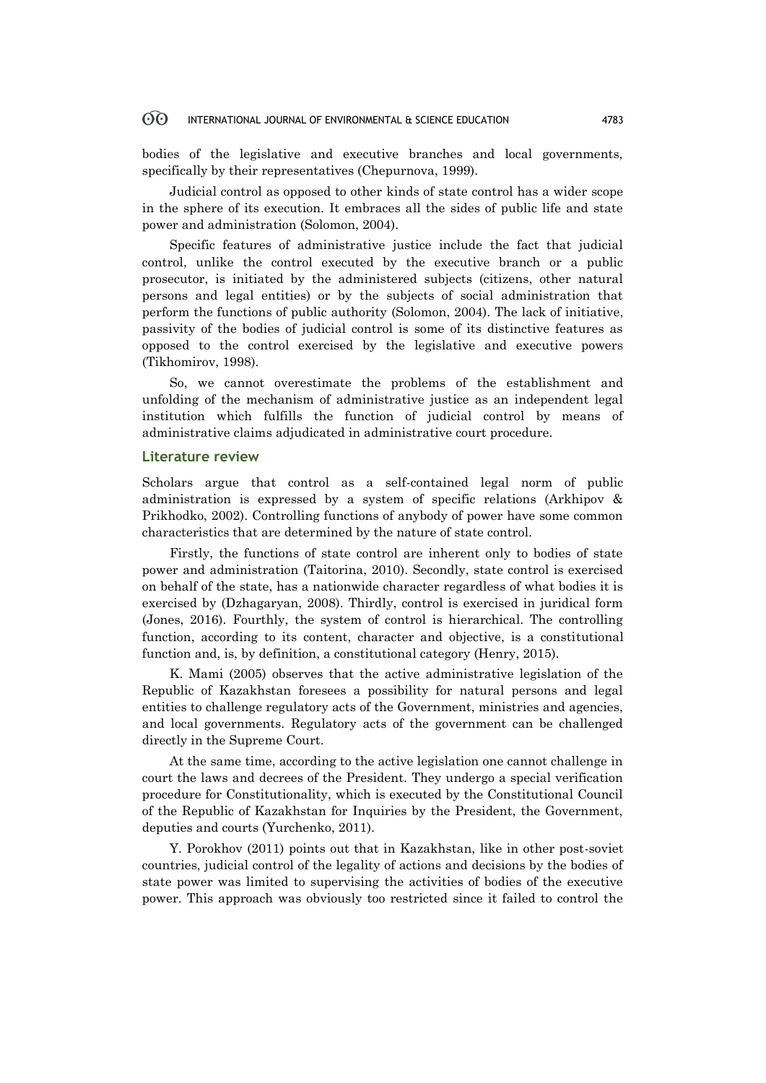#### 60 INTERNATIONAL JOURNAL OF ENVIRONMENTAL & SCIENCE EDUCATION 4783

bodies of the legislative and executive branches and local governments, specifically by their representatives (Chepurnova, 1999).

Judicial control as opposed to other kinds of state control has a wider scope in the sphere of its execution. It embraces all the sides of public life and state power and administration (Solomon, 2004).

Specific features of administrative justice include the fact that judicial control, unlike the control executed by the executive branch or a public prosecutor, is initiated by the administered subjects (citizens, other natural persons and legal entities) or by the subjects of social administration that perform the functions of public authority (Solomon, 2004). The lack of initiative, passivity of the bodies of judicial control is some of its distinctive features as opposed to the control exercised by the legislative and executive powers (Tikhomirov, 1998).

So, we cannot overestimate the problems of the establishment and unfolding of the mechanism of administrative justice as an independent legal institution which fulfills the function of judicial control by means of administrative claims adjudicated in administrative court procedure.

### **Literature review**

Scholars argue that control as a self-contained legal norm of public administration is expressed by a system of specific relations (Arkhipov & Prikhodko, 2002). Controlling functions of anybody of power have some common characteristics that are determined by the nature of state control.

Firstly, the functions of state control are inherent only to bodies of state power and administration (Taitorina, 2010). Secondly, state control is exercised on behalf of the state, has a nationwide character regardless of what bodies it is exercised by (Dzhagaryan, 2008). Thirdly, control is exercised in juridical form (Jones, 2016). Fourthly, the system of control is hierarchical. The controlling function, according to its content, character and objective, is a constitutional function and, is, by definition, a constitutional category (Henry, 2015).

K. Mami (2005) observes that the active administrative legislation of the Republic of Kazakhstan foresees a possibility for natural persons and legal entities to challenge regulatory acts of the Government, ministries and agencies, and local governments. Regulatory acts of the government can be challenged directly in the Supreme Court.

At the same time, according to the active legislation one cannot challenge in court the laws and decrees of the President. They undergo a special verification procedure for Constitutionality, which is executed by the Constitutional Council of the Republic of Kazakhstan for Inquiries by the President, the Government, deputies and courts (Yurchenko, 2011).

Y. Porokhov (2011) points out that in Kazakhstan, like in other post-soviet countries, judicial control of the legality of actions and decisions by the bodies of state power was limited to supervising the activities of bodies of the executive power. This approach was obviously too restricted since it failed to control the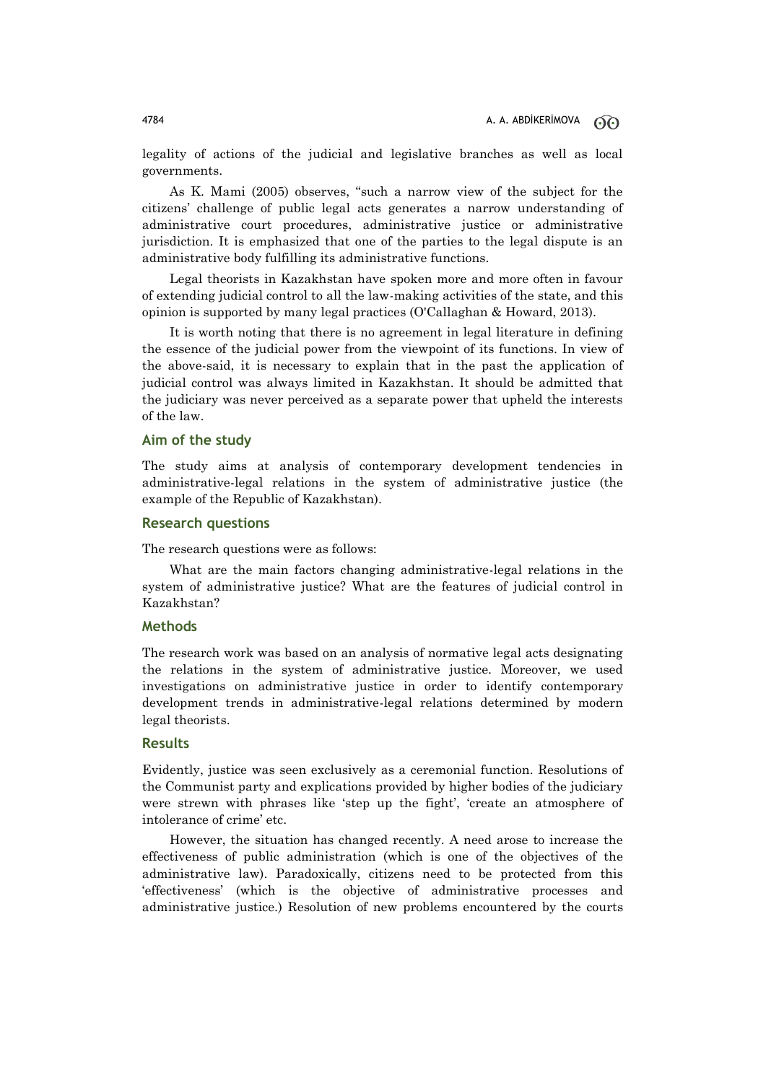legality of actions of the judicial and legislative branches as well as local governments.

As K. Mami (2005) observes, "such a narrow view of the subject for the citizens' challenge of public legal acts generates a narrow understanding of administrative court procedures, administrative justice or administrative jurisdiction. It is emphasized that one of the parties to the legal dispute is an administrative body fulfilling its administrative functions.

Legal theorists in Kazakhstan have spoken more and more often in favour of extending judicial control to all the law-making activities of the state, and this opinion is supported by many legal practices (O'Callaghan & Howard, 2013).

It is worth noting that there is no agreement in legal literature in defining the essence of the judicial power from the viewpoint of its functions. In view of the above-said, it is necessary to explain that in the past the application of judicial control was always limited in Kazakhstan. It should be admitted that the judiciary was never perceived as a separate power that upheld the interests of the law.

#### **Aim of the study**

The study aims at analysis of contemporary development tendencies in administrative-legal relations in the system of administrative justice (the example of the Republic of Kazakhstan).

### **Research questions**

The research questions were as follows:

What are the main factors changing administrative-legal relations in the system of administrative justice? What are the features of judicial control in Kazakhstan?

# **Methods**

The research work was based on an analysis of normative legal acts designating the relations in the system of administrative justice. Moreover, we used investigations on administrative justice in order to identify contemporary development trends in administrative-legal relations determined by modern legal theorists.

### **Results**

Evidently, justice was seen exclusively as a ceremonial function. Resolutions of the Communist party and explications provided by higher bodies of the judiciary were strewn with phrases like 'step up the fight', 'create an atmosphere of intolerance of crime' etc.

However, the situation has changed recently. A need arose to increase the effectiveness of public administration (which is one of the objectives of the administrative law). Paradoxically, citizens need to be protected from this 'effectiveness' (which is the objective of administrative processes and administrative justice.) Resolution of new problems encountered by the courts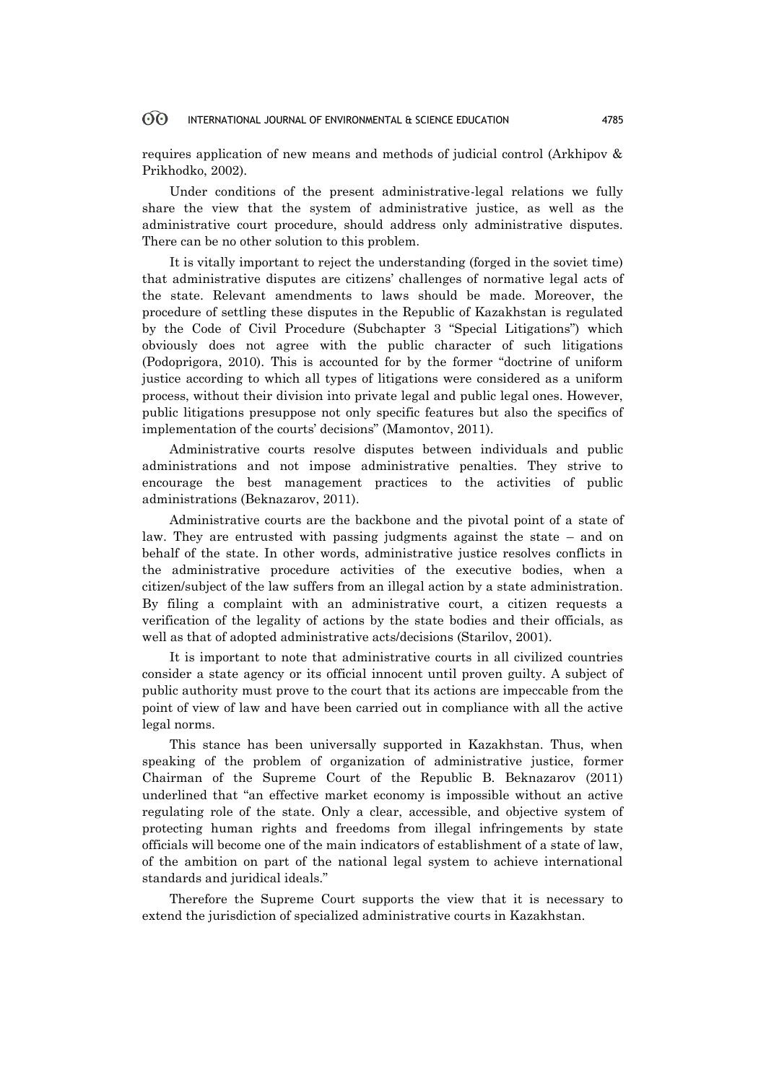#### 60 INTERNATIONAL JOURNAL OF ENVIRONMENTAL & SCIENCE EDUCATION 4785

requires application of new means and methods of judicial control (Arkhipov & Prikhodko, 2002).

Under conditions of the present administrative-legal relations we fully share the view that the system of administrative justice, as well as the administrative court procedure, should address only administrative disputes. There can be no other solution to this problem.

It is vitally important to reject the understanding (forged in the soviet time) that administrative disputes are citizens' challenges of normative legal acts of the state. Relevant amendments to laws should be made. Moreover, the procedure of settling these disputes in the Republic of Kazakhstan is regulated by the Code of Civil Procedure (Subchapter 3 "Special Litigations") which obviously does not agree with the public character of such litigations (Podoprigora, 2010). This is accounted for by the former "doctrine of uniform justice according to which all types of litigations were considered as a uniform process, without their division into private legal and public legal ones. However, public litigations presuppose not only specific features but also the specifics of implementation of the courts' decisions" (Mamontov, 2011).

Administrative courts resolve disputes between individuals and public administrations and not impose administrative penalties. They strive to encourage the best management practices to the activities of public administrations (Beknazarov, 2011).

Administrative courts are the backbone and the pivotal point of a state of law. They are entrusted with passing judgments against the state – and on behalf of the state. In other words, administrative justice resolves conflicts in the administrative procedure activities of the executive bodies, when a citizen/subject of the law suffers from an illegal action by a state administration. By filing a complaint with an administrative court, a citizen requests a verification of the legality of actions by the state bodies and their officials, as well as that of adopted administrative acts/decisions (Starilov, 2001).

It is important to note that administrative courts in all civilized countries consider a state agency or its official innocent until proven guilty. A subject of public authority must prove to the court that its actions are impeccable from the point of view of law and have been carried out in compliance with all the active legal norms.

This stance has been universally supported in Kazakhstan. Thus, when speaking of the problem of organization of administrative justice, former Chairman of the Supreme Court of the Republic B. Beknazarov (2011) underlined that "an effective market economy is impossible without an active regulating role of the state. Only a clear, accessible, and objective system of protecting human rights and freedoms from illegal infringements by state officials will become one of the main indicators of establishment of a state of law, of the ambition on part of the national legal system to achieve international standards and juridical ideals."

Therefore the Supreme Court supports the view that it is necessary to extend the jurisdiction of specialized administrative courts in Kazakhstan.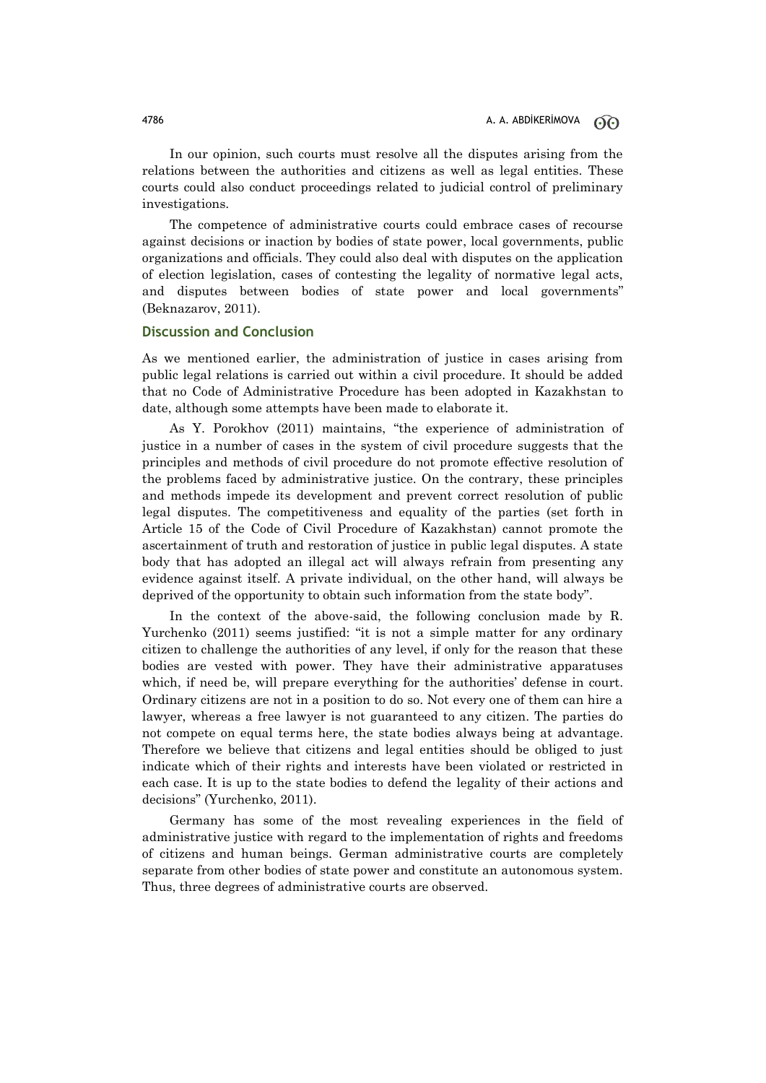In our opinion, such courts must resolve all the disputes arising from the relations between the authorities and citizens as well as legal entities. These courts could also conduct proceedings related to judicial control of preliminary investigations.

The competence of administrative courts could embrace cases of recourse against decisions or inaction by bodies of state power, local governments, public organizations and officials. They could also deal with disputes on the application of election legislation, cases of contesting the legality of normative legal acts, and disputes between bodies of state power and local governments" (Beknazarov, 2011).

### **Discussion and Conclusion**

As we mentioned earlier, the administration of justice in cases arising from public legal relations is carried out within a civil procedure. It should be added that no Code of Administrative Procedure has been adopted in Kazakhstan to date, although some attempts have been made to elaborate it.

As Y. Porokhov (2011) maintains, "the experience of administration of justice in a number of cases in the system of civil procedure suggests that the principles and methods of civil procedure do not promote effective resolution of the problems faced by administrative justice. On the contrary, these principles and methods impede its development and prevent correct resolution of public legal disputes. The competitiveness and equality of the parties (set forth in Article 15 of the Code of Civil Procedure of Kazakhstan) cannot promote the ascertainment of truth and restoration of justice in public legal disputes. A state body that has adopted an illegal act will always refrain from presenting any evidence against itself. A private individual, on the other hand, will always be deprived of the opportunity to obtain such information from the state body".

In the context of the above-said, the following conclusion made by R. Yurchenko (2011) seems justified: "it is not a simple matter for any ordinary citizen to challenge the authorities of any level, if only for the reason that these bodies are vested with power. They have their administrative apparatuses which, if need be, will prepare everything for the authorities' defense in court. Ordinary citizens are not in a position to do so. Not every one of them can hire a lawyer, whereas a free lawyer is not guaranteed to any citizen. The parties do not compete on equal terms here, the state bodies always being at advantage. Therefore we believe that citizens and legal entities should be obliged to just indicate which of their rights and interests have been violated or restricted in each case. It is up to the state bodies to defend the legality of their actions and decisions" (Yurchenko, 2011).

Germany has some of the most revealing experiences in the field of administrative justice with regard to the implementation of rights and freedoms of citizens and human beings. German administrative courts are completely separate from other bodies of state power and constitute an autonomous system. Thus, three degrees of administrative courts are observed.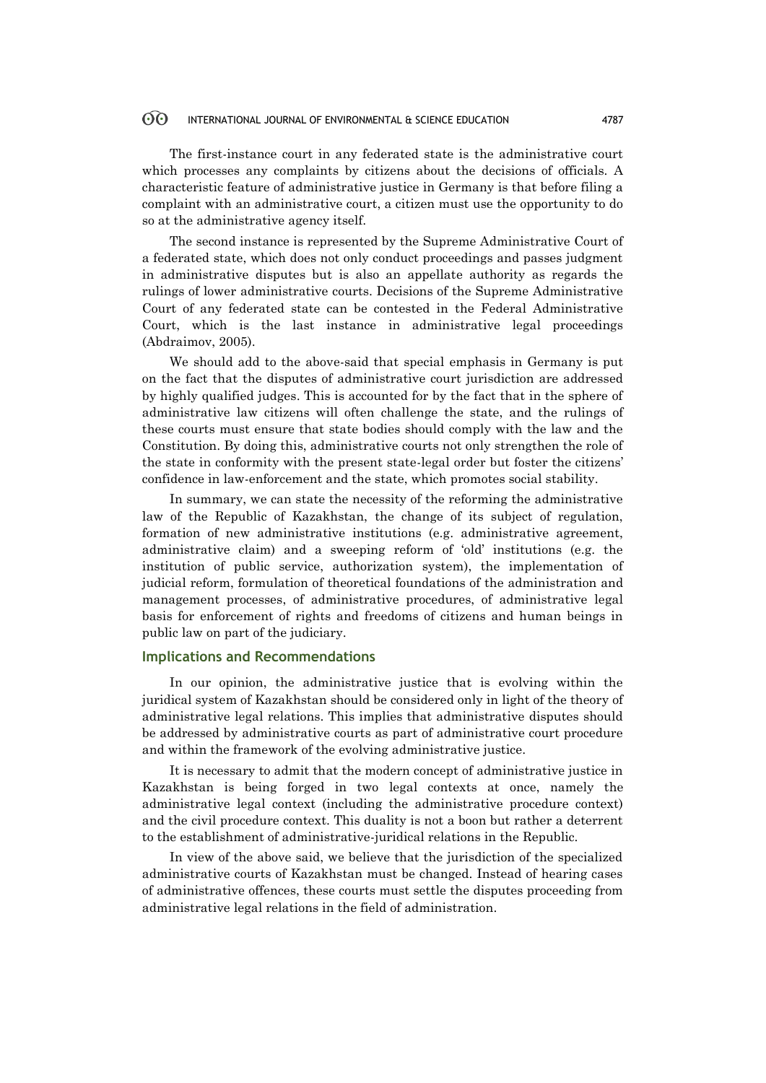#### 60 INTERNATIONAL JOURNAL OF ENVIRONMENTAL & SCIENCE EDUCATION 4787

The first-instance court in any federated state is the administrative court which processes any complaints by citizens about the decisions of officials. A characteristic feature of administrative justice in Germany is that before filing a complaint with an administrative court, a citizen must use the opportunity to do so at the administrative agency itself.

The second instance is represented by the Supreme Administrative Court of a federated state, which does not only conduct proceedings and passes judgment in administrative disputes but is also an appellate authority as regards the rulings of lower administrative courts. Decisions of the Supreme Administrative Court of any federated state can be contested in the Federal Administrative Court, which is the last instance in administrative legal proceedings (Abdraimov, 2005).

We should add to the above-said that special emphasis in Germany is put on the fact that the disputes of administrative court jurisdiction are addressed by highly qualified judges. This is accounted for by the fact that in the sphere of administrative law citizens will often challenge the state, and the rulings of these courts must ensure that state bodies should comply with the law and the Constitution. By doing this, administrative courts not only strengthen the role of the state in conformity with the present state-legal order but foster the citizens' confidence in law-enforcement and the state, which promotes social stability.

In summary, we can state the necessity of the reforming the administrative law of the Republic of Kazakhstan, the change of its subject of regulation, formation of new administrative institutions (e.g. administrative agreement, administrative claim) and a sweeping reform of 'old' institutions (e.g. the institution of public service, authorization system), the implementation of judicial reform, formulation of theoretical foundations of the administration and management processes, of administrative procedures, of administrative legal basis for enforcement of rights and freedoms of citizens and human beings in public law on part of the judiciary.

### **Implications and Recommendations**

In our opinion, the administrative justice that is evolving within the juridical system of Kazakhstan should be considered only in light of the theory of administrative legal relations. This implies that administrative disputes should be addressed by administrative courts as part of administrative court procedure and within the framework of the evolving administrative justice.

It is necessary to admit that the modern concept of administrative justice in Kazakhstan is being forged in two legal contexts at once, namely the administrative legal context (including the administrative procedure context) and the civil procedure context. This duality is not a boon but rather a deterrent to the establishment of administrative-juridical relations in the Republic.

In view of the above said, we believe that the jurisdiction of the specialized administrative courts of Kazakhstan must be changed. Instead of hearing cases of administrative offences, these courts must settle the disputes proceeding from administrative legal relations in the field of administration.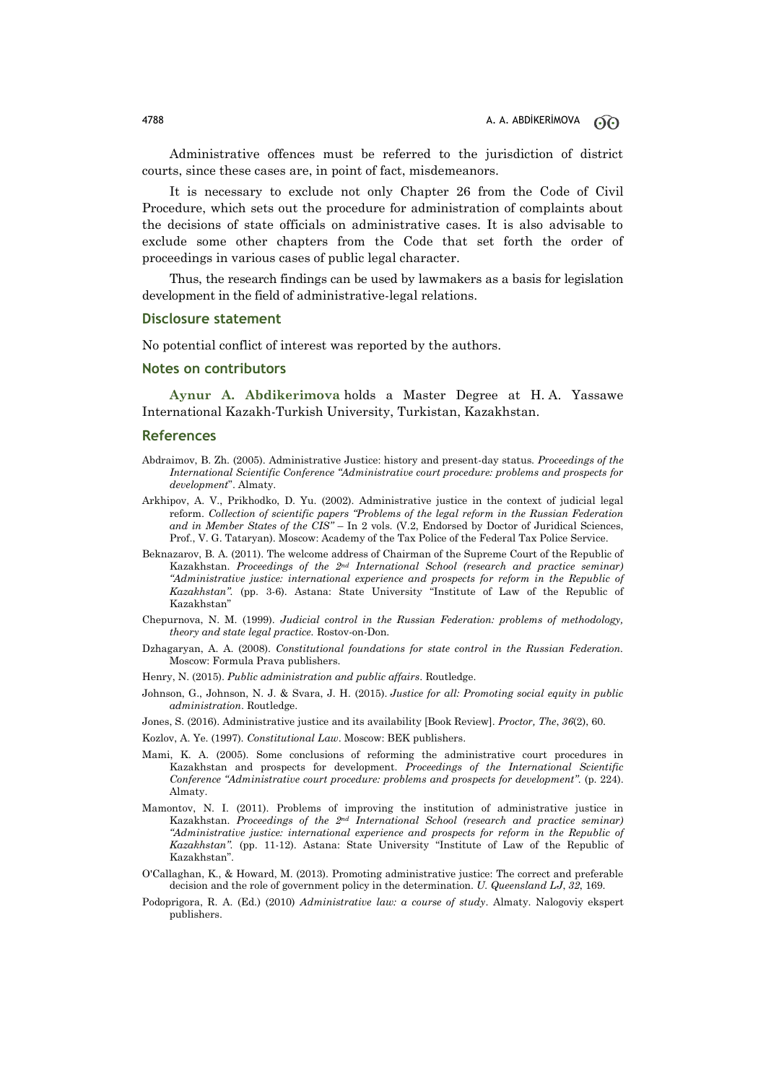Administrative offences must be referred to the jurisdiction of district courts, since these cases are, in point of fact, misdemeanors.

It is necessary to exclude not only Chapter 26 from the Code of Civil Procedure, which sets out the procedure for administration of complaints about the decisions of state officials on administrative cases. It is also advisable to exclude some other chapters from the Code that set forth the order of proceedings in various cases of public legal character.

Thus, the research findings can be used by lawmakers as a basis for legislation development in the field of administrative-legal relations.

#### **Disclosure statement**

No potential conflict of interest was reported by the authors.

#### **Notes on contributors**

**Aynur A. Abdikerimova** holds a Master Degree at H. A. Yassawe International Kazakh-Turkish University, Turkistan, Kazakhstan.

#### **References**

- Abdraimov, B. Zh. (2005). Administrative Justice: history and present-day status. *Proceedings of the International Scientific Conference "Administrative court procedure: problems and prospects for development*". Almaty.
- Arkhipov, A. V., Prikhodko, D. Yu. (2002). Administrative justice in the context of judicial legal reform. *Collection of scientific papers "Problems of the legal reform in the Russian Federation and in Member States of the CIS"* – In 2 vols. (V.2, Endorsed by Doctor of Juridical Sciences, Prof., V. G. Tataryan). Moscow: Academy of the Tax Police of the Federal Tax Police Service.
- Beknazarov, B. A. (2011). The welcome address of Chairman of the Supreme Court of the Republic of Kazakhstan. *Proceedings of the 2nd International School (research and practice seminar) "Administrative justice: international experience and prospects for reform in the Republic of Kazakhstan".* (pp. 3-6). Astana: State University "Institute of Law of the Republic of Kazakhstan"
- Chepurnova, N. M. (1999). *Judicial control in the Russian Federation: problems of methodology, theory and state legal practice.* Rostov-on-Don.
- Dzhagaryan, A. A. (2008). *Constitutional foundations for state control in the Russian Federation.* Moscow: Formula Prava publishers.
- Henry, N. (2015). *Public administration and public affairs*. Routledge.
- Johnson, G., Johnson, N. J. & Svara, J. H. (2015). *Justice for all: Promoting social equity in public administration*. Routledge.
- Jones, S. (2016). Administrative justice and its availability [Book Review]. *Proctor, The*, *36*(2), 60.
- Kozlov, A. Ye. (1997). *Constitutional Law*. Moscow: BEK publishers.
- Mami, K. A. (2005). Some conclusions of reforming the administrative court procedures in Kazakhstan and prospects for development. *Proceedings of the International Scientific Conference "Administrative court procedure: problems and prospects for development".* (p. 224). Almaty.
- Mamontov, N. I. (2011). Problems of improving the institution of administrative justice in Kazakhstan. *Proceedings of the 2nd International School (research and practice seminar) "Administrative justice: international experience and prospects for reform in the Republic of Kazakhstan".* (pp. 11-12). Astana: State University "Institute of Law of the Republic of Kazakhstan".
- O'Callaghan, K., & Howard, M. (2013). Promoting administrative justice: The correct and preferable decision and the role of government policy in the determination. *U. Queensland LJ*, *32*, 169.
- Podoprigora, R. A. (Ed.) (2010) *Administrative law: a course of study*. Almaty. Nalogoviy ekspert publishers.